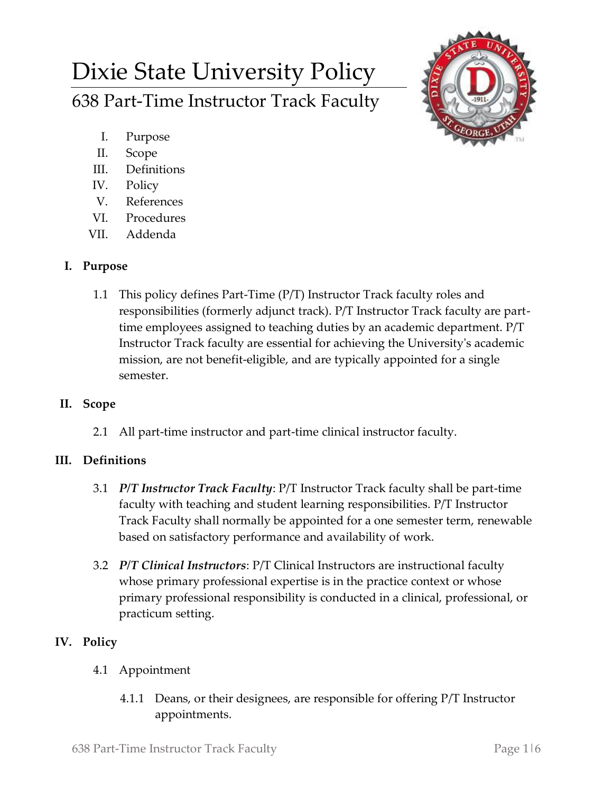# Dixie State University Policy 638 Part-Time Instructor Track Faculty



- I. Purpose
- II. Scope
- III. Definitions
- IV. Policy
- V. References
- VI. Procedures
- VII. Addenda

## **I. Purpose**

1.1 This policy defines Part-Time (P/T) Instructor Track faculty roles and responsibilities (formerly adjunct track). P/T Instructor Track faculty are parttime employees assigned to teaching duties by an academic department. P/T Instructor Track faculty are essential for achieving the University's academic mission, are not benefit-eligible, and are typically appointed for a single semester.

# **II. Scope**

2.1 All part-time instructor and part-time clinical instructor faculty.

# **III. Definitions**

- 3.1 *P/T Instructor Track Faculty*: P/T Instructor Track faculty shall be part-time faculty with teaching and student learning responsibilities. P/T Instructor Track Faculty shall normally be appointed for a one semester term, renewable based on satisfactory performance and availability of work.
- 3.2 *P/T Clinical Instructors*: P/T Clinical Instructors are instructional faculty whose primary professional expertise is in the practice context or whose primary professional responsibility is conducted in a clinical, professional, or practicum setting.

# **IV. Policy**

- 4.1 Appointment
	- 4.1.1 Deans, or their designees, are responsible for offering P/T Instructor appointments.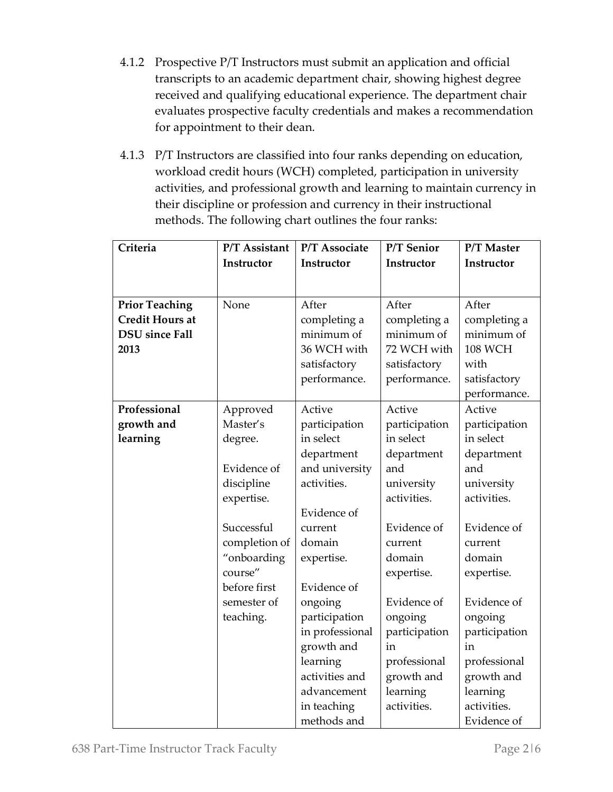- 4.1.2 Prospective P/T Instructors must submit an application and official transcripts to an academic department chair, showing highest degree received and qualifying educational experience. The department chair evaluates prospective faculty credentials and makes a recommendation for appointment to their dean.
- 4.1.3 P/T Instructors are classified into four ranks depending on education, workload credit hours (WCH) completed, participation in university activities, and professional growth and learning to maintain currency in their discipline or profession and currency in their instructional methods. The following chart outlines the four ranks:

| completing a<br>minimum of<br>performance.                              |
|-------------------------------------------------------------------------|
|                                                                         |
| participation                                                           |
|                                                                         |
| department                                                              |
|                                                                         |
|                                                                         |
|                                                                         |
|                                                                         |
|                                                                         |
|                                                                         |
|                                                                         |
|                                                                         |
|                                                                         |
|                                                                         |
|                                                                         |
| participation                                                           |
|                                                                         |
|                                                                         |
|                                                                         |
|                                                                         |
|                                                                         |
| Evidence of<br>Evidence of<br>professional<br>growth and<br>Evidence of |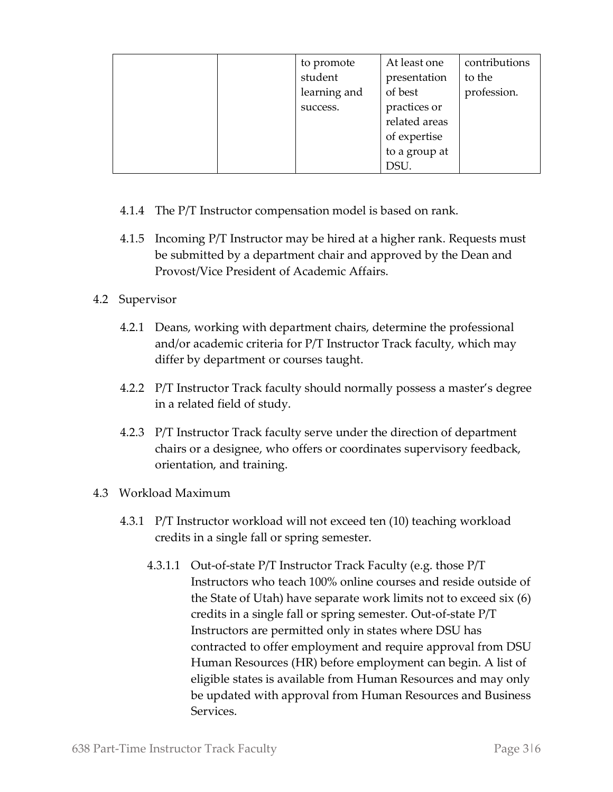| to promote   | At least one  | contributions |
|--------------|---------------|---------------|
| student      | presentation  | to the        |
| learning and | of best       | profession.   |
| success.     | practices or  |               |
|              | related areas |               |
|              | of expertise  |               |
|              | to a group at |               |
|              | DSU.          |               |

- 4.1.4 The P/T Instructor compensation model is based on rank.
- 4.1.5 Incoming P/T Instructor may be hired at a higher rank. Requests must be submitted by a department chair and approved by the Dean and Provost/Vice President of Academic Affairs.

## 4.2 Supervisor

- 4.2.1 Deans, working with department chairs, determine the professional and/or academic criteria for P/T Instructor Track faculty, which may differ by department or courses taught.
- 4.2.2 P/T Instructor Track faculty should normally possess a master's degree in a related field of study.
- 4.2.3 P/T Instructor Track faculty serve under the direction of department chairs or a designee, who offers or coordinates supervisory feedback, orientation, and training.

#### 4.3 Workload Maximum

- 4.3.1 P/T Instructor workload will not exceed ten (10) teaching workload credits in a single fall or spring semester.
	- 4.3.1.1 Out-of-state P/T Instructor Track Faculty (e.g. those P/T Instructors who teach 100% online courses and reside outside of the State of Utah) have separate work limits not to exceed six (6) credits in a single fall or spring semester. Out-of-state P/T Instructors are permitted only in states where DSU has contracted to offer employment and require approval from DSU Human Resources (HR) before employment can begin. A list of eligible states is available from Human Resources and may only be updated with approval from Human Resources and Business Services.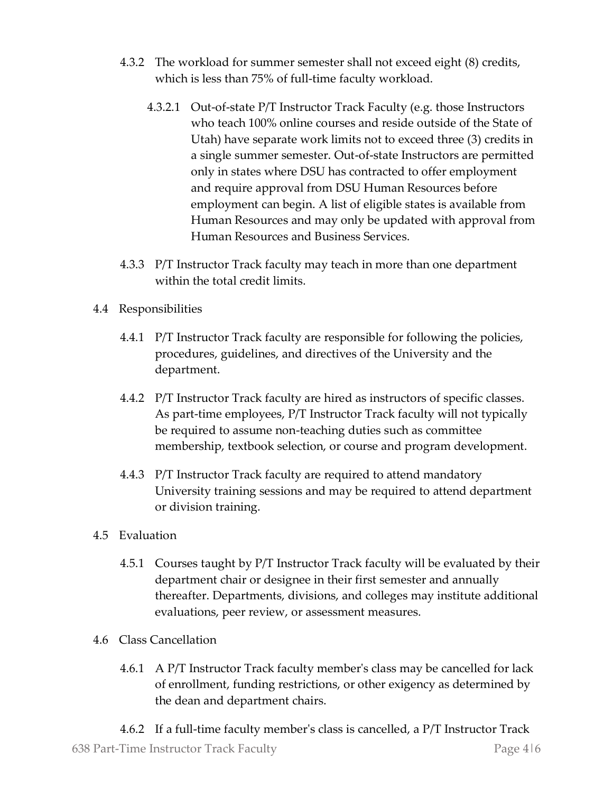- 4.3.2 The workload for summer semester shall not exceed eight (8) credits, which is less than 75% of full-time faculty workload.
	- 4.3.2.1 Out-of-state P/T Instructor Track Faculty (e.g. those Instructors who teach 100% online courses and reside outside of the State of Utah) have separate work limits not to exceed three (3) credits in a single summer semester. Out-of-state Instructors are permitted only in states where DSU has contracted to offer employment and require approval from DSU Human Resources before employment can begin. A list of eligible states is available from Human Resources and may only be updated with approval from Human Resources and Business Services.
- 4.3.3 P/T Instructor Track faculty may teach in more than one department within the total credit limits.
- 4.4 Responsibilities
	- 4.4.1 P/T Instructor Track faculty are responsible for following the policies, procedures, guidelines, and directives of the University and the department.
	- 4.4.2 P/T Instructor Track faculty are hired as instructors of specific classes. As part-time employees, P/T Instructor Track faculty will not typically be required to assume non-teaching duties such as committee membership, textbook selection, or course and program development.
	- 4.4.3 P/T Instructor Track faculty are required to attend mandatory University training sessions and may be required to attend department or division training.
- 4.5 Evaluation
	- 4.5.1 Courses taught by P/T Instructor Track faculty will be evaluated by their department chair or designee in their first semester and annually thereafter. Departments, divisions, and colleges may institute additional evaluations, peer review, or assessment measures.
- 4.6 Class Cancellation
	- 4.6.1 A P/T Instructor Track faculty member's class may be cancelled for lack of enrollment, funding restrictions, or other exigency as determined by the dean and department chairs.

638 Part-Time Instructor Track Faculty Page 4|6 4.6.2 If a full-time faculty member's class is cancelled, a P/T Instructor Track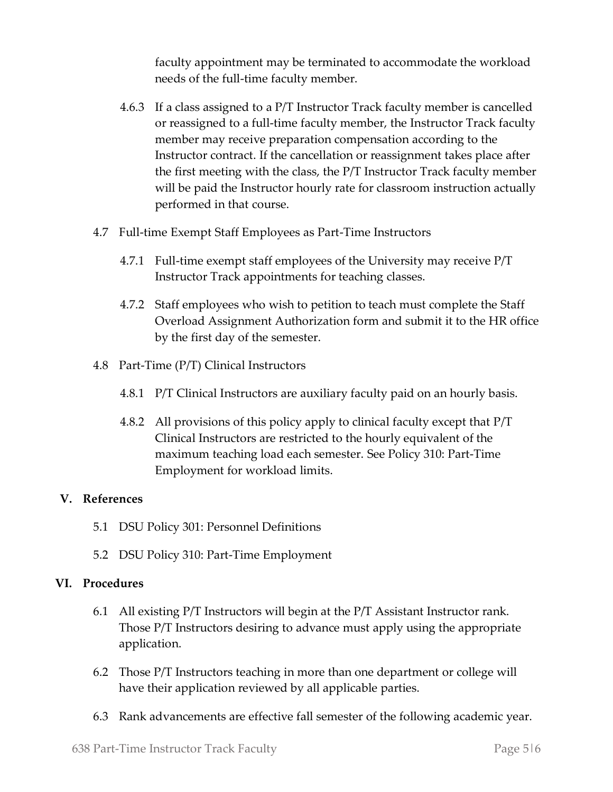faculty appointment may be terminated to accommodate the workload needs of the full-time faculty member.

- 4.6.3 If a class assigned to a P/T Instructor Track faculty member is cancelled or reassigned to a full-time faculty member, the Instructor Track faculty member may receive preparation compensation according to the Instructor contract. If the cancellation or reassignment takes place after the first meeting with the class, the P/T Instructor Track faculty member will be paid the Instructor hourly rate for classroom instruction actually performed in that course.
- 4.7 Full-time Exempt Staff Employees as Part-Time Instructors
	- 4.7.1 Full-time exempt staff employees of the University may receive P/T Instructor Track appointments for teaching classes.
	- 4.7.2 Staff employees who wish to petition to teach must complete the Staff Overload Assignment Authorization form and submit it to the HR office by the first day of the semester.
- 4.8 Part-Time (P/T) Clinical Instructors
	- 4.8.1 P/T Clinical Instructors are auxiliary faculty paid on an hourly basis.
	- 4.8.2 All provisions of this policy apply to clinical faculty except that P/T Clinical Instructors are restricted to the hourly equivalent of the maximum teaching load each semester. See Policy 310: Part-Time Employment for workload limits.

#### **V. References**

- 5.1 DSU Policy 301: Personnel Definitions
- 5.2 DSU Policy 310: Part-Time Employment

#### **VI. Procedures**

- 6.1 All existing P/T Instructors will begin at the P/T Assistant Instructor rank. Those P/T Instructors desiring to advance must apply using the appropriate application.
- 6.2 Those P/T Instructors teaching in more than one department or college will have their application reviewed by all applicable parties.
- 6.3 Rank advancements are effective fall semester of the following academic year.